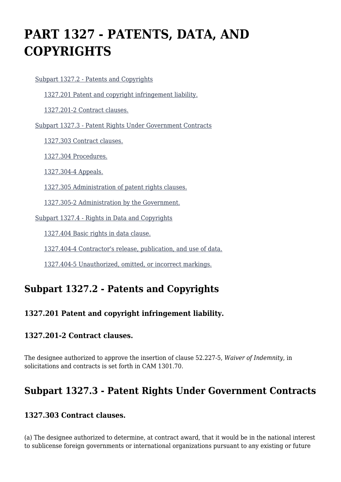# **PART 1327 - PATENTS, DATA, AND COPYRIGHTS**

[Subpart 1327.2 - Patents and Copyrights](https://login.acquisition.gov/%5Brp:link:car-part-1327%5D#Subpart_1327_2_T48_50647251)

[1327.201 Patent and copyright infringement liability.](https://login.acquisition.gov/%5Brp:link:car-part-1327%5D#Section_1327_201_T48_5064725111)

[1327.201-2 Contract clauses.](https://login.acquisition.gov/%5Brp:link:car-part-1327%5D#Section_1327_201_2_T48_5064725112)

[Subpart 1327.3 - Patent Rights Under Government Contracts](https://login.acquisition.gov/%5Brp:link:car-part-1327%5D#Subpart_1327_3_T48_50647252)

[1327.303 Contract clauses.](https://login.acquisition.gov/%5Brp:link:car-part-1327%5D#Section_1327_303_T48_5064725211)

[1327.304 Procedures.](https://login.acquisition.gov/%5Brp:link:car-part-1327%5D#Section_1327_304_T48_5064725212)

[1327.304-4 Appeals.](https://login.acquisition.gov/%5Brp:link:car-part-1327%5D#Section_1327_304_4_T48_5064725213)

[1327.305 Administration of patent rights clauses.](https://login.acquisition.gov/%5Brp:link:car-part-1327%5D#Section_1327_305_T48_5064725214)

[1327.305-2 Administration by the Government.](https://login.acquisition.gov/%5Brp:link:car-part-1327%5D#Section_1327_305_2_T48_5064725215)

[Subpart 1327.4 - Rights in Data and Copyrights](https://login.acquisition.gov/%5Brp:link:car-part-1327%5D#Subpart_1327_4_T48_50647253)

[1327.404 Basic rights in data clause.](https://login.acquisition.gov/%5Brp:link:car-part-1327%5D#Section_1327_404_T48_5064725311)

[1327.404-4 Contractor's release, publication, and use of data.](https://login.acquisition.gov/%5Brp:link:car-part-1327%5D#Section_1327_404_4_T48_5064725312)

[1327.404-5 Unauthorized, omitted, or incorrect markings.](https://login.acquisition.gov/%5Brp:link:car-part-1327%5D#Section_1327_404_5_T48_5064725313)

# **Subpart 1327.2 - Patents and Copyrights**

## **1327.201 Patent and copyright infringement liability.**

#### **1327.201-2 Contract clauses.**

The designee authorized to approve the insertion of clause 52.227-5, *Waiver of Indemnity,* in solicitations and contracts is set forth in CAM 1301.70.

## **Subpart 1327.3 - Patent Rights Under Government Contracts**

#### **1327.303 Contract clauses.**

(a) The designee authorized to determine, at contract award, that it would be in the national interest to sublicense foreign governments or international organizations pursuant to any existing or future